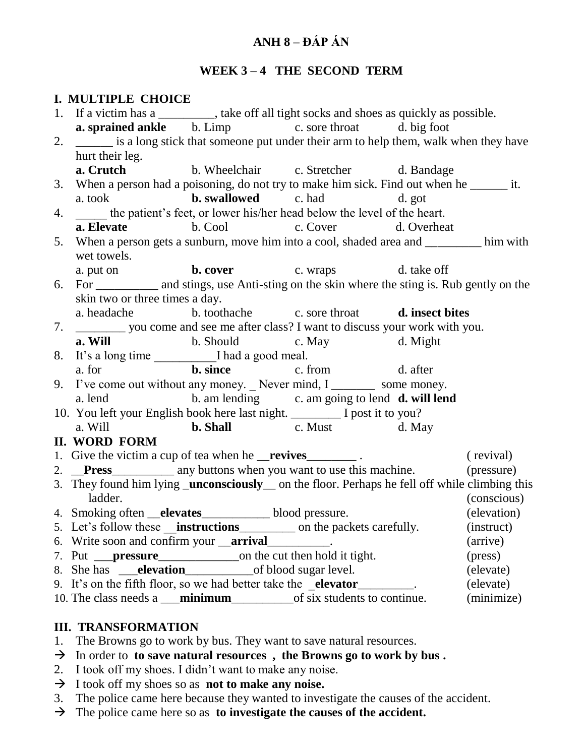# **ANH 8 – ĐÁP ÁN**

### WEEK 3-4 THE SECOND TERM

#### **I. MULTIPLE CHOICE**

| <b>a. sprained ankle</b> b. Limp c. sore throat d. big foot<br>is a long stick that someone put under their arm to help them, walk when they have<br>2.<br>hurt their leg.<br>a. Crutch<br>b. Wheelchair c. Stretcher d. Bandage<br>3. When a person had a poisoning, do not try to make him sick. Find out when he _______ it.<br>a. took <b>b. swallowed</b> c. had d. got<br>4. _____ the patient's feet, or lower his/her head below the level of the heart.<br><b>a. Elevate</b> b. Cool c. Cover d. Overheat<br>When a person gets a sunburn, move him into a cool, shaded area and ________ him with<br>5.<br>wet towels.<br>a. put on b. cover c. wraps d. take off<br>For ___________ and stings, use Anti-sting on the skin where the sting is. Rub gently on the<br>6.<br>skin two or three times a day.<br>a. headache b. toothache c. sore throat d. insect bites<br>__________ you come and see me after class? I want to discuss your work with you.<br>7.<br><b>a. Will</b> b. Should c. May d. Might<br><b>b.</b> since c. from d. after<br>a. for<br>9. I've come out without any money. $\angle$ Never mind, I ________ some money.<br>a. lend b. am lending c. am going to lend <b>d. will lend</b><br>10. You left your English book here last night. ________ I post it to you?<br>a. Will <b>b. Shall c. Must d. May</b><br><b>II. WORD FORM</b><br>1. Give the victim a cup of tea when he <b>__revives</b> ______________.<br>(revival)<br>2. Press____________ any buttons when you want to use this machine. (pressure)<br>3. They found him lying _unconsciously __ on the floor. Perhaps he fell off while climbing this |  | 1. If a victim has a _______, take off all tight socks and shoes as quickly as possible. |  |  |  |  |  |  |  |  |
|-------------------------------------------------------------------------------------------------------------------------------------------------------------------------------------------------------------------------------------------------------------------------------------------------------------------------------------------------------------------------------------------------------------------------------------------------------------------------------------------------------------------------------------------------------------------------------------------------------------------------------------------------------------------------------------------------------------------------------------------------------------------------------------------------------------------------------------------------------------------------------------------------------------------------------------------------------------------------------------------------------------------------------------------------------------------------------------------------------------------------------------------------------------------------------------------------------------------------------------------------------------------------------------------------------------------------------------------------------------------------------------------------------------------------------------------------------------------------------------------------------------------------------------------------------------------------------------------------------------------------------------------------------|--|------------------------------------------------------------------------------------------|--|--|--|--|--|--|--|--|
|                                                                                                                                                                                                                                                                                                                                                                                                                                                                                                                                                                                                                                                                                                                                                                                                                                                                                                                                                                                                                                                                                                                                                                                                                                                                                                                                                                                                                                                                                                                                                                                                                                                       |  |                                                                                          |  |  |  |  |  |  |  |  |
|                                                                                                                                                                                                                                                                                                                                                                                                                                                                                                                                                                                                                                                                                                                                                                                                                                                                                                                                                                                                                                                                                                                                                                                                                                                                                                                                                                                                                                                                                                                                                                                                                                                       |  |                                                                                          |  |  |  |  |  |  |  |  |
|                                                                                                                                                                                                                                                                                                                                                                                                                                                                                                                                                                                                                                                                                                                                                                                                                                                                                                                                                                                                                                                                                                                                                                                                                                                                                                                                                                                                                                                                                                                                                                                                                                                       |  |                                                                                          |  |  |  |  |  |  |  |  |
|                                                                                                                                                                                                                                                                                                                                                                                                                                                                                                                                                                                                                                                                                                                                                                                                                                                                                                                                                                                                                                                                                                                                                                                                                                                                                                                                                                                                                                                                                                                                                                                                                                                       |  |                                                                                          |  |  |  |  |  |  |  |  |
|                                                                                                                                                                                                                                                                                                                                                                                                                                                                                                                                                                                                                                                                                                                                                                                                                                                                                                                                                                                                                                                                                                                                                                                                                                                                                                                                                                                                                                                                                                                                                                                                                                                       |  |                                                                                          |  |  |  |  |  |  |  |  |
|                                                                                                                                                                                                                                                                                                                                                                                                                                                                                                                                                                                                                                                                                                                                                                                                                                                                                                                                                                                                                                                                                                                                                                                                                                                                                                                                                                                                                                                                                                                                                                                                                                                       |  |                                                                                          |  |  |  |  |  |  |  |  |
|                                                                                                                                                                                                                                                                                                                                                                                                                                                                                                                                                                                                                                                                                                                                                                                                                                                                                                                                                                                                                                                                                                                                                                                                                                                                                                                                                                                                                                                                                                                                                                                                                                                       |  |                                                                                          |  |  |  |  |  |  |  |  |
|                                                                                                                                                                                                                                                                                                                                                                                                                                                                                                                                                                                                                                                                                                                                                                                                                                                                                                                                                                                                                                                                                                                                                                                                                                                                                                                                                                                                                                                                                                                                                                                                                                                       |  |                                                                                          |  |  |  |  |  |  |  |  |
|                                                                                                                                                                                                                                                                                                                                                                                                                                                                                                                                                                                                                                                                                                                                                                                                                                                                                                                                                                                                                                                                                                                                                                                                                                                                                                                                                                                                                                                                                                                                                                                                                                                       |  |                                                                                          |  |  |  |  |  |  |  |  |
|                                                                                                                                                                                                                                                                                                                                                                                                                                                                                                                                                                                                                                                                                                                                                                                                                                                                                                                                                                                                                                                                                                                                                                                                                                                                                                                                                                                                                                                                                                                                                                                                                                                       |  |                                                                                          |  |  |  |  |  |  |  |  |
|                                                                                                                                                                                                                                                                                                                                                                                                                                                                                                                                                                                                                                                                                                                                                                                                                                                                                                                                                                                                                                                                                                                                                                                                                                                                                                                                                                                                                                                                                                                                                                                                                                                       |  |                                                                                          |  |  |  |  |  |  |  |  |
|                                                                                                                                                                                                                                                                                                                                                                                                                                                                                                                                                                                                                                                                                                                                                                                                                                                                                                                                                                                                                                                                                                                                                                                                                                                                                                                                                                                                                                                                                                                                                                                                                                                       |  |                                                                                          |  |  |  |  |  |  |  |  |
|                                                                                                                                                                                                                                                                                                                                                                                                                                                                                                                                                                                                                                                                                                                                                                                                                                                                                                                                                                                                                                                                                                                                                                                                                                                                                                                                                                                                                                                                                                                                                                                                                                                       |  |                                                                                          |  |  |  |  |  |  |  |  |
|                                                                                                                                                                                                                                                                                                                                                                                                                                                                                                                                                                                                                                                                                                                                                                                                                                                                                                                                                                                                                                                                                                                                                                                                                                                                                                                                                                                                                                                                                                                                                                                                                                                       |  |                                                                                          |  |  |  |  |  |  |  |  |
|                                                                                                                                                                                                                                                                                                                                                                                                                                                                                                                                                                                                                                                                                                                                                                                                                                                                                                                                                                                                                                                                                                                                                                                                                                                                                                                                                                                                                                                                                                                                                                                                                                                       |  |                                                                                          |  |  |  |  |  |  |  |  |
|                                                                                                                                                                                                                                                                                                                                                                                                                                                                                                                                                                                                                                                                                                                                                                                                                                                                                                                                                                                                                                                                                                                                                                                                                                                                                                                                                                                                                                                                                                                                                                                                                                                       |  |                                                                                          |  |  |  |  |  |  |  |  |
|                                                                                                                                                                                                                                                                                                                                                                                                                                                                                                                                                                                                                                                                                                                                                                                                                                                                                                                                                                                                                                                                                                                                                                                                                                                                                                                                                                                                                                                                                                                                                                                                                                                       |  |                                                                                          |  |  |  |  |  |  |  |  |
|                                                                                                                                                                                                                                                                                                                                                                                                                                                                                                                                                                                                                                                                                                                                                                                                                                                                                                                                                                                                                                                                                                                                                                                                                                                                                                                                                                                                                                                                                                                                                                                                                                                       |  |                                                                                          |  |  |  |  |  |  |  |  |
|                                                                                                                                                                                                                                                                                                                                                                                                                                                                                                                                                                                                                                                                                                                                                                                                                                                                                                                                                                                                                                                                                                                                                                                                                                                                                                                                                                                                                                                                                                                                                                                                                                                       |  |                                                                                          |  |  |  |  |  |  |  |  |
|                                                                                                                                                                                                                                                                                                                                                                                                                                                                                                                                                                                                                                                                                                                                                                                                                                                                                                                                                                                                                                                                                                                                                                                                                                                                                                                                                                                                                                                                                                                                                                                                                                                       |  |                                                                                          |  |  |  |  |  |  |  |  |
|                                                                                                                                                                                                                                                                                                                                                                                                                                                                                                                                                                                                                                                                                                                                                                                                                                                                                                                                                                                                                                                                                                                                                                                                                                                                                                                                                                                                                                                                                                                                                                                                                                                       |  |                                                                                          |  |  |  |  |  |  |  |  |
|                                                                                                                                                                                                                                                                                                                                                                                                                                                                                                                                                                                                                                                                                                                                                                                                                                                                                                                                                                                                                                                                                                                                                                                                                                                                                                                                                                                                                                                                                                                                                                                                                                                       |  |                                                                                          |  |  |  |  |  |  |  |  |
|                                                                                                                                                                                                                                                                                                                                                                                                                                                                                                                                                                                                                                                                                                                                                                                                                                                                                                                                                                                                                                                                                                                                                                                                                                                                                                                                                                                                                                                                                                                                                                                                                                                       |  |                                                                                          |  |  |  |  |  |  |  |  |
|                                                                                                                                                                                                                                                                                                                                                                                                                                                                                                                                                                                                                                                                                                                                                                                                                                                                                                                                                                                                                                                                                                                                                                                                                                                                                                                                                                                                                                                                                                                                                                                                                                                       |  |                                                                                          |  |  |  |  |  |  |  |  |
|                                                                                                                                                                                                                                                                                                                                                                                                                                                                                                                                                                                                                                                                                                                                                                                                                                                                                                                                                                                                                                                                                                                                                                                                                                                                                                                                                                                                                                                                                                                                                                                                                                                       |  |                                                                                          |  |  |  |  |  |  |  |  |
|                                                                                                                                                                                                                                                                                                                                                                                                                                                                                                                                                                                                                                                                                                                                                                                                                                                                                                                                                                                                                                                                                                                                                                                                                                                                                                                                                                                                                                                                                                                                                                                                                                                       |  |                                                                                          |  |  |  |  |  |  |  |  |
| ladder.<br>(conscious)                                                                                                                                                                                                                                                                                                                                                                                                                                                                                                                                                                                                                                                                                                                                                                                                                                                                                                                                                                                                                                                                                                                                                                                                                                                                                                                                                                                                                                                                                                                                                                                                                                |  |                                                                                          |  |  |  |  |  |  |  |  |
| (elevation)<br>4. Smoking often <b>__elevates</b> ______________blood pressure.                                                                                                                                                                                                                                                                                                                                                                                                                                                                                                                                                                                                                                                                                                                                                                                                                                                                                                                                                                                                                                                                                                                                                                                                                                                                                                                                                                                                                                                                                                                                                                       |  |                                                                                          |  |  |  |  |  |  |  |  |
| 5. Let's follow these <b>__instructions</b> _________ on the packets carefully.<br>(instruct)                                                                                                                                                                                                                                                                                                                                                                                                                                                                                                                                                                                                                                                                                                                                                                                                                                                                                                                                                                                                                                                                                                                                                                                                                                                                                                                                                                                                                                                                                                                                                         |  |                                                                                          |  |  |  |  |  |  |  |  |
| 6. Write soon and confirm your <b>__arrival</b> ___________.<br>(arrive)                                                                                                                                                                                                                                                                                                                                                                                                                                                                                                                                                                                                                                                                                                                                                                                                                                                                                                                                                                                                                                                                                                                                                                                                                                                                                                                                                                                                                                                                                                                                                                              |  |                                                                                          |  |  |  |  |  |  |  |  |
| (press)                                                                                                                                                                                                                                                                                                                                                                                                                                                                                                                                                                                                                                                                                                                                                                                                                                                                                                                                                                                                                                                                                                                                                                                                                                                                                                                                                                                                                                                                                                                                                                                                                                               |  |                                                                                          |  |  |  |  |  |  |  |  |
| (elevate)                                                                                                                                                                                                                                                                                                                                                                                                                                                                                                                                                                                                                                                                                                                                                                                                                                                                                                                                                                                                                                                                                                                                                                                                                                                                                                                                                                                                                                                                                                                                                                                                                                             |  |                                                                                          |  |  |  |  |  |  |  |  |
| 9. It's on the fifth floor, so we had better take the <b>_elevator</b> _________.<br>(elevate)                                                                                                                                                                                                                                                                                                                                                                                                                                                                                                                                                                                                                                                                                                                                                                                                                                                                                                                                                                                                                                                                                                                                                                                                                                                                                                                                                                                                                                                                                                                                                        |  |                                                                                          |  |  |  |  |  |  |  |  |
| (minimize)                                                                                                                                                                                                                                                                                                                                                                                                                                                                                                                                                                                                                                                                                                                                                                                                                                                                                                                                                                                                                                                                                                                                                                                                                                                                                                                                                                                                                                                                                                                                                                                                                                            |  |                                                                                          |  |  |  |  |  |  |  |  |

### **III. TRANSFORMATION**

- 1. The Browns go to work by bus. They want to save natural resources.
- $\rightarrow$  In order to **to save natural resources**, the Browns go to work by bus.
- 2. I took off my shoes. I didn't want to make any noise.
- I took off my shoes so as **not to make any noise.**
- 3. The police came here because they wanted to investigate the causes of the accident.
- The police came here so as **to investigate the causes of the accident.**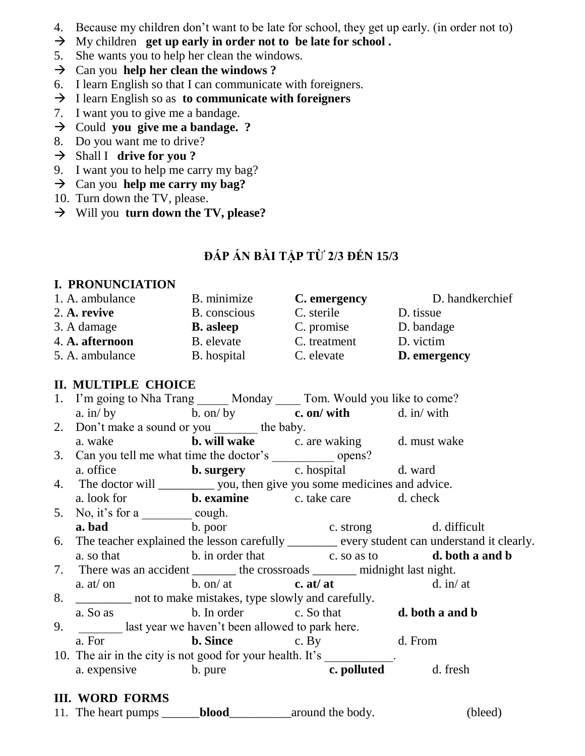- 4. Because my children don't want to be late for school, they get up early. (in order not to)
- My children **get up early in order not to be late for school .**
- 5. She wants you to help her clean the windows.
- $\rightarrow$  Can you **help her clean the windows**?
- 6. I learn English so that I can communicate with foreigners.
- I learn English so as **to communicate with foreigners**
- 7. I want you to give me a bandage.
- → Could **you give me a bandage.** ?
- 8. Do you want me to drive?
- Shall I **drive for you ?**
- 9. I want you to help me carry my bag?
- Can you **help me carry my bag?**
- 10. Turn down the TV, please.
- Will you **turn down the TV, please?**

# **ĐÁP ÁN BÀI TẬP TỪ 2/3 ĐẾN 15/3**

### **I. PRONUNCIATION**

| B. minimize      | C. emergency | D. handkerchief |  |
|------------------|--------------|-----------------|--|
| B. conscious     | C. sterile   | D. tissue       |  |
| <b>B.</b> asleep | C. promise   | D. bandage      |  |
| B. elevate       | C. treatment | D. victim       |  |
| B. hospital      | C. elevate   | D. emergency    |  |
|                  |              |                 |  |

# **II. MULTIPLE CHOICE**

| 1. I'm going to Nha Trang Monday Tom. Would you like to come? |               |               |              |  |  |
|---------------------------------------------------------------|---------------|---------------|--------------|--|--|
| a. in/ $by$                                                   | $b.$ on/ $by$ | c. on/with    | $d.$ in/with |  |  |
| 2. Don't make a sound or you<br>the baby.                     |               |               |              |  |  |
| a. wake                                                       | b. will wake  | c. are waking | d. must wake |  |  |
| 3. Can you tell me what time the doctor's                     |               | opens?        |              |  |  |
| a. office                                                     | b. surgery    | c. hospital   | d. ward      |  |  |

4. The doctor will \_\_\_\_\_\_\_\_\_\_ you, then give you some medicines and advice.

- a. look for **b. examine** c. take care d. check 5. No, it's for a  $\_\_\_\_\_\_$  cough. **a. bad** b. poor c. strong d. difficult
- 6. The teacher explained the lesson carefully \_\_\_\_\_\_ every student can understand it clearly. a. so that b. in order that c. so as to **d. both a and b**
- 7. There was an accident \_\_\_\_\_\_\_\_ the crossroads \_\_\_\_\_\_\_\_ midnight last night. a. at/ on b. on/ at **c. at/ at** d. in/ at
- 8. \_\_\_\_\_\_\_\_\_ not to make mistakes, type slowly and carefully. a. So as b. In order c. So that **d. both a and b**
- 9. **\_\_\_\_\_\_** last year we haven't been allowed to park here. a. For **b. Since** c. By d. From
- 10. The air in the city is not good for your health. It's a. expensive b. pure **c. polluted** d. fresh

## **III. WORD FORMS**

11. The heart pumps \_\_\_\_\_\_**blood**\_\_\_\_\_\_\_\_\_\_around the body. (bleed)